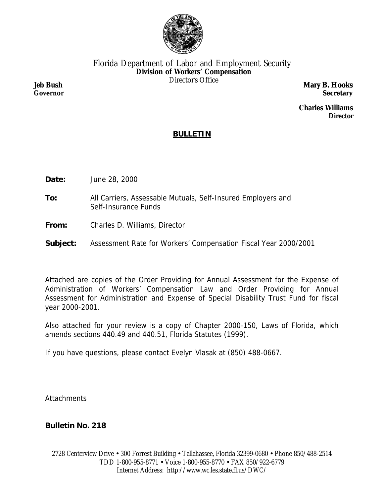

## Florida Department of Labor and Employment Security **Division of Workers' Compensation** Director's Office **Jeb Bush**

**Governor**

**Mary B. Hooks Secretary**

**Charles Williams Director**

## **BULLETIN**

- **Date:** June 28, 2000
- **To:** All Carriers, Assessable Mutuals, Self-Insured Employers and Self-Insurance Funds
- **From:** Charles D. Williams, Director
- **Subject:** Assessment Rate for Workers' Compensation Fiscal Year 2000/2001

Attached are copies of the Order Providing for Annual Assessment for the Expense of Administration of Workers' Compensation Law and Order Providing for Annual Assessment for Administration and Expense of Special Disability Trust Fund for fiscal year 2000-2001.

Also attached for your review is a copy of Chapter 2000-150, Laws of Florida, which amends sections 440.49 and 440.51, Florida Statutes (1999).

If you have questions, please contact Evelyn Vlasak at (850) 488-0667.

**Attachments** 

**Bulletin No. 218**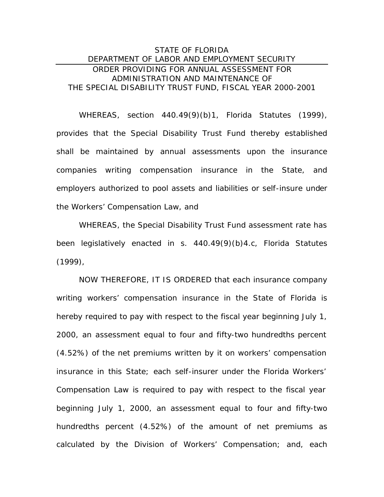## STATE OF FLORIDA DEPARTMENT OF LABOR AND EMPLOYMENT SECURITY ORDER PROVIDING FOR ANNUAL ASSESSMENT FOR ADMINISTRATION AND MAINTENANCE OF THE SPECIAL DISABILITY TRUST FUND, FISCAL YEAR 2000-2001

WHEREAS, section 440.49(9)(b)1, Florida Statutes (1999), provides that the Special Disability Trust Fund thereby established shall be maintained by annual assessments upon the insurance companies writing compensation insurance in the State, and employers authorized to pool assets and liabilities or self-insure under the Workers' Compensation Law, and

WHEREAS, the Special Disability Trust Fund assessment rate has been legislatively enacted in s. 440.49(9)(b)4.c, Florida Statutes (1999),

NOW THEREFORE, IT IS ORDERED that each insurance company writing workers' compensation insurance in the State of Florida is hereby required to pay with respect to the fiscal year beginning July 1, 2000, an assessment equal to four and fifty-two hundredths percent (4.52%) of the net premiums written by it on workers' compensation insurance in this State; each self-insurer under the Florida Workers' Compensation Law is required to pay with respect to the fiscal year beginning July 1, 2000, an assessment equal to four and fifty-two hundredths percent (4.52%) of the amount of net premiums as calculated by the Division of Workers' Compensation; and, each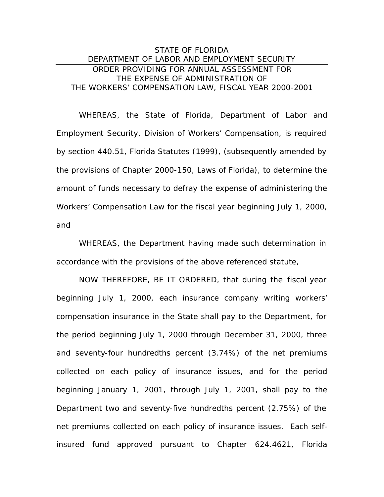## STATE OF FLORIDA DEPARTMENT OF LABOR AND EMPLOYMENT SECURITY ORDER PROVIDING FOR ANNUAL ASSESSMENT FOR THE EXPENSE OF ADMINISTRATION OF THE WORKERS' COMPENSATION LAW, FISCAL YEAR 2000-2001

WHEREAS, the State of Florida, Department of Labor and Employment Security, Division of Workers' Compensation, is required by section 440.51, Florida Statutes (1999), (subsequently amended by the provisions of Chapter 2000-150, Laws of Florida), to determine the amount of funds necessary to defray the expense of administering the Workers' Compensation Law for the fiscal year beginning July 1, 2000, and

WHEREAS, the Department having made such determination in accordance with the provisions of the above referenced statute,

NOW THEREFORE, BE IT ORDERED, that during the fiscal year beginning July 1, 2000, each insurance company writing workers' compensation insurance in the State shall pay to the Department, for the period beginning July 1, 2000 through December 31, 2000, three and seventy-four hundredths percent (3.74%) of the net premiums collected on each policy of insurance issues, and for the period beginning January 1, 2001, through July 1, 2001, shall pay to the Department two and seventy-five hundredths percent (2.75%) of the net premiums collected on each policy of insurance issues. Each selfinsured fund approved pursuant to Chapter 624.4621, Florida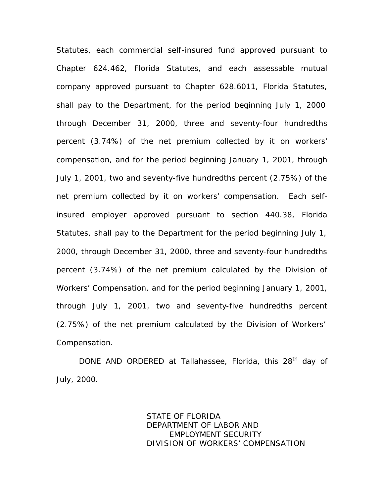Statutes, each commercial self-insured fund approved pursuant to Chapter 624.462, Florida Statutes, and each assessable mutual company approved pursuant to Chapter 628.6011, Florida Statutes, shall pay to the Department, for the period beginning July 1, 2000 through December 31, 2000, three and seventy-four hundredths percent (3.74%) of the net premium collected by it on workers' compensation, and for the period beginning January 1, 2001, through July 1, 2001, two and seventy-five hundredths percent (2.75%) of the net premium collected by it on workers' compensation. Each selfinsured employer approved pursuant to section 440.38, Florida Statutes, shall pay to the Department for the period beginning July 1, 2000, through December 31, 2000, three and seventy-four hundredths percent (3.74%) of the net premium calculated by the Division of Workers' Compensation, and for the period beginning January 1, 2001, through July 1, 2001, two and seventy-five hundredths percent (2.75%) of the net premium calculated by the Division of Workers' Compensation.

DONE AND ORDERED at Tallahassee, Florida, this 28<sup>th</sup> day of July, 2000.

> STATE OF FLORIDA DEPARTMENT OF LABOR AND EMPLOYMENT SECURITY DIVISION OF WORKERS' COMPENSATION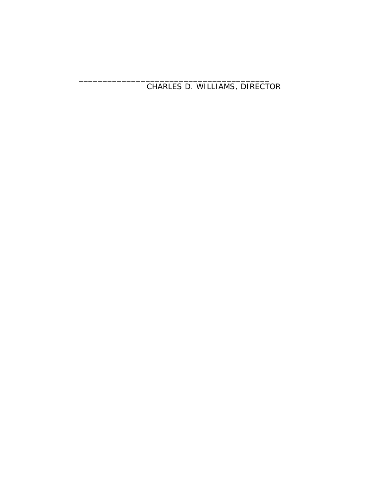CHARLES D. WILLIAMS, DIRECTOR

\_\_\_\_\_\_\_\_\_\_\_\_\_\_\_\_\_\_\_\_\_\_\_\_\_\_\_\_\_\_\_\_\_\_\_\_\_\_\_\_